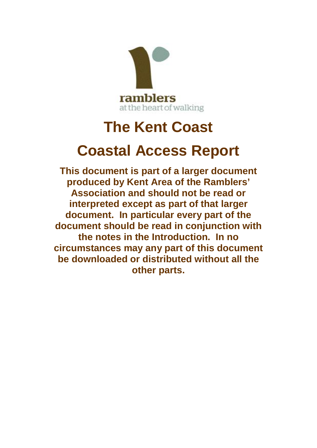

# **The Kent Coast**

# **Coastal Access Report**

**This document is part of a larger document produced by Kent Area of the Ramblers' Association and should not be read or interpreted except as part of that larger document. In particular every part of the document should be read in conjunction with the notes in the Introduction. In no circumstances may any part of this document be downloaded or distributed without all the other parts.**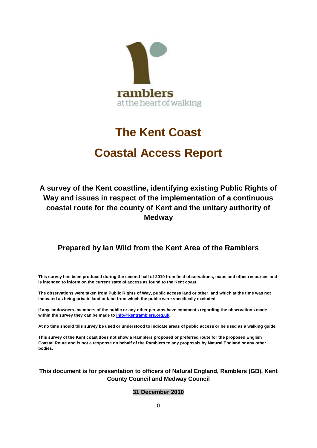

# **The Kent Coast Coastal Access Report**

# **A survey of the Kent coastline, identifying existing Public Rights of Way and issues in respect of the implementation of a continuous coastal route for the county of Kent and the unitary authority of Medway**

## **Prepared by Ian Wild from the Kent Area of the Ramblers**

**This survey has been produced during the second half of 2010 from field observations, maps and other resources and is intended to inform on the current state of access as found to the Kent coast.**

**The observations were taken from Public Rights of Way, public access land or other land which at the time was not indicated as being private land or land from which the public were specifically excluded.**

**If any landowners, members of the public or any other persons have comments regarding the observations made within the survey they can be made to [info@kentramblers.org.uk](mailto:info@kentramblers.org.uk).**

**At no time should this survey be used or understood to indicate areas of public access or be used as a walking guide.**

**This survey of the Kent coast does not show a Ramblers proposed or preferred route for the proposed English Coastal Route and is not a response on behalf of the Ramblers to any proposals by Natural England or any other bodies.**

### **This document is for presentation to officers of Natural England, Ramblers (GB), Kent County Council and Medway Council**

#### **31 December 2010**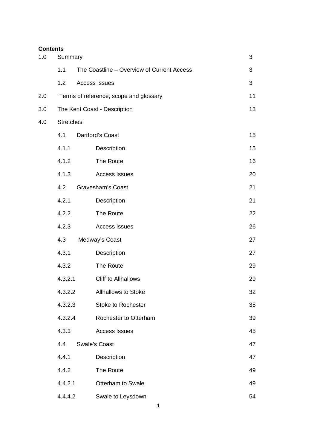# **Contents** 1.0 Summary 3 1.1 The Coastline – Overview of Current Access 3 1.2 Access Issues 3 2.0 Terms of reference, scope and glossary example that the 11 3.0 The Kent Coast - Description 13 4.0 Stretches 4.1 Dartford's Coast 15 4.1.1 Description 15 4.1.2 The Route 16 4.1.3 Access Issues 20 4.2 Gravesham's Coast 21 4.2.1 Description 21 4.2.2 The Route 22 4.2.3 Access Issues 26 4.3 Medway's Coast 27 4.3.1 Description 27 4.3.2 The Route 29 4.3.2.1 Cliff to Allhallows 29 4.3.2.2 Allhallows to Stoke 32 4.3.2.3 Stoke to Rochester 35 4.3.2.4 Rochester to Otterham 39 4.3.3 Access Issues 45 4.4 Swale's Coast 47 4.4.1 Description 47 4.4.2 The Route 49 4.4.2.1 Otterham to Swale 49 4.4.4.2 Swale to Leysdown 54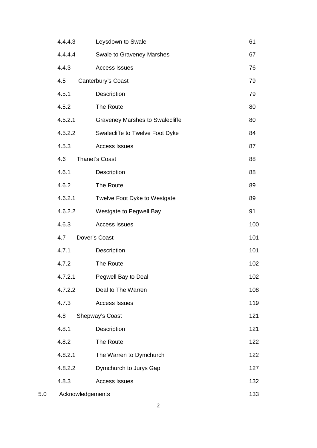|     | 4.4.4.3          | Leysdown to Swale                      | 61  |
|-----|------------------|----------------------------------------|-----|
|     | 4.4.4.4          | <b>Swale to Graveney Marshes</b>       | 67  |
|     | 4.4.3            | <b>Access Issues</b>                   | 76  |
|     | 4.5              | Canterbury's Coast                     | 79  |
|     | 4.5.1            | Description                            | 79  |
|     | 4.5.2            | The Route                              | 80  |
|     | 4.5.2.1          | <b>Graveney Marshes to Swalecliffe</b> | 80  |
|     | 4.5.2.2          | Swalecliffe to Twelve Foot Dyke        | 84  |
|     | 4.5.3            | <b>Access Issues</b>                   | 87  |
|     | 4.6              | <b>Thanet's Coast</b>                  | 88  |
|     | 4.6.1            | Description                            | 88  |
|     | 4.6.2            | The Route                              | 89  |
|     | 4.6.2.1          | Twelve Foot Dyke to Westgate           | 89  |
|     | 4.6.2.2          | Westgate to Pegwell Bay                | 91  |
|     | 4.6.3            | <b>Access Issues</b>                   | 100 |
|     | 4.7              | Dover's Coast                          | 101 |
|     | 4.7.1            | Description                            | 101 |
|     | 4.7.2            | The Route                              | 102 |
|     | 4.7.2.1          | Pegwell Bay to Deal                    | 102 |
|     | 4.7.2.2          | Deal to The Warren                     | 108 |
|     | 4.7.3            | <b>Access Issues</b>                   | 119 |
|     | 4.8              | Shepway's Coast                        | 121 |
|     | 4.8.1            | Description                            | 121 |
|     | 4.8.2            | The Route                              | 122 |
|     | 4.8.2.1          | The Warren to Dymchurch                | 122 |
|     | 4.8.2.2          | Dymchurch to Jurys Gap                 | 127 |
|     | 4.8.3            | <b>Access Issues</b>                   | 132 |
| 5.0 | Acknowledgements |                                        | 133 |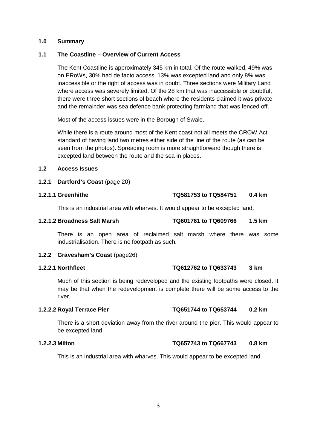#### **1.0 Summary**

#### **1.1 The Coastline – Overview of Current Access**

The Kent Coastline is approximately 345 km in total. Of the route walked, 49% was on PRoWs, 30% had de facto access, 13% was excepted land and only 8% was inaccessible or the right of access was in doubt. Three sections were Military Land where access was severely limited. Of the 28 km that was inaccessible or doubtful, there were three short sections of beach where the residents claimed it was private and the remainder was sea defence bank protecting farmland that was fenced off.

Most of the access issues were in the Borough of Swale.

While there is a route around most of the Kent coast not all meets the CROW Act standard of having land two metres either side of the line of the route (as can be seen from the photos). Spreading room is more straightforward though there is excepted land between the route and the sea in places.

#### **1.2 Access Issues**

**1.2.1 Dartford's Coast** (page 20)

### **1.2.1.1 Greenhithe TQ581753 to TQ584751 0.4 km**

This is an industrial area with wharves. It would appear to be excepted land.

#### **1.2.1.2 Broadness Salt Marsh TQ601761 to TQ609766 1.5 km**

There is an open area of reclaimed salt marsh where there was some industrialisation. There is no footpath as such.

#### **1.2.2 Gravesham's Coast** (page26)

## **1.2.2.1 Northfleet TQ612762 to TQ633743 3 km**

Much of this section is being redeveloped and the existing footpaths were closed. It may be that when the redevelopment is complete there will be some access to the river.

#### **1.2.2.2 Royal Terrace Pier TQ651744 to TQ653744 0.2 km**

There is a short deviation away from the river around the pier. This would appear to be excepted land

#### **1.2.2.3 Milton TQ657743 to TQ667743 0.8 km**

This is an industrial area with wharves. This would appear to be excepted land.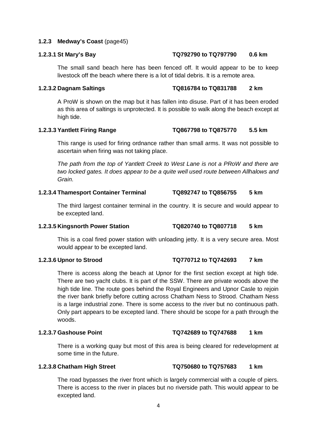#### **1.2.3 Medway's Coast** (page45)

#### **1.2.3.1 St Mary's Bay TQ792790 to TQ797790 0.6 km**

The small sand beach here has been fenced off. It would appear to be to keep livestock off the beach where there is a lot of tidal debris. It is a remote area.

#### **1.2.3.2 Dagnam Saltings TQ816784 to TQ831788 2 km**

A ProW is shown on the map but it has fallen into disuse. Part of it has been eroded as this area of saltings is unprotected. It is possible to walk along the beach except at high tide.

### **1.2.3.3 Yantlett Firing Range TQ867798 to TQ875770 5.5 km**

This range is used for firing ordnance rather than small arms. It was not possible to ascertain when firing was not taking place.

*The path from the top of Yantlett Creek to West Lane is not a PRoW and there are two locked gates. It does appear to be a quite well used route between Allhalows and Grain.*

#### **1.2.3.4 Thamesport Container Terminal TQ892747 to TQ856755 5 km**

The third largest container terminal in the country. It is secure and would appear to be excepted land.

#### **1.2.3.5 Kingsnorth Power Station TQ820740 to TQ807718 5 km**

This is a coal fired power station with unloading jetty. It is a very secure area. Most would appear to be excepted land.

There is access along the beach at Upnor for the first section except at high tide. There are two yacht clubs. It is part of the SSW. There are private woods above the high tide line. The route goes behind the Royal Engineers and Upnor Casle to rejoin the river bank briefly before cutting across Chatham Ness to Strood. Chatham Ness is a large industrial zone. There is some access to the river but no continuous path. Only part appears to be excepted land. There should be scope for a path through the woods.

#### **1.2.3.7 Gashouse Point TQ742689 to TQ747688 1 km**

There is a working quay but most of this area is being cleared for redevelopment at some time in the future.

### **1.2.3.8 Chatham High Street TQ750680 to TQ757683 1 km**

The road bypasses the river front which is largely commercial with a couple of piers. There is access to the river in places but no riverside path. This would appear to be excepted land.

### **1.2.3.6 Upnor to Strood TQ770712 to TQ742693 7 km**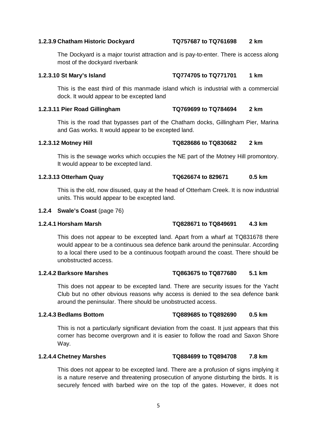### **1.2.3.9 Chatham Historic Dockyard TQ757687 to TQ761698 2 km**

The Dockyard is a major tourist attraction and is pay-to-enter. There is access along most of the dockyard riverbank

### **1.2.3.10 St Mary's Island TQ774705 to TQ771701 1 km**

This is the east third of this manmade island which is industrial with a commercial dock. It would appear to be excepted land

### **1.2.3.11 Pier Road Gillingham TQ769699 to TQ784694 2 km**

This is the road that bypasses part of the Chatham docks, Gillingham Pier, Marina and Gas works. It would appear to be excepted land.

This is the sewage works which occupies the NE part of the Motney Hill promontory.

It would appear to be excepted land.

This is the old, now disused, quay at the head of Otterham Creek. It is now industrial units. This would appear to be excepted land.

#### **1.2.4 Swale's Coast** (page 76)

This does not appear to be excepted land. Apart from a wharf at TQ831678 there would appear to be a continuous sea defence bank around the peninsular. According to a local there used to be a continuous footpath around the coast. There should be unobstructed access.

#### **1.2.4.2 Barksore Marshes TQ863675 to TQ877680 5.1 km**

This does not appear to be excepted land. There are security issues for the Yacht Club but no other obvious reasons why access is denied to the sea defence bank around the peninsular. There should be unobstructed access.

### **1.2.4.3 Bedlams Bottom TQ889685 to TQ892690 0.5 km**

This is not a particularly significant deviation from the coast. It just appears that this corner has become overgrown and it is easier to follow the road and Saxon Shore Way.

### **1.2.4.4 Chetney Marshes TQ884699 to TQ894708 7.8 km**

This does not appear to be excepted land. There are a profusion of signs implying it is a nature reserve and threatening prosecution of anyone disturbing the birds. It is securely fenced with barbed wire on the top of the gates. However, it does not

# **1.2.3.12 Motney Hill TQ828686 to TQ830682 2 km**

### **1.2.4.1 Horsham Marsh TQ828671 to TQ849691 4.3 km**

**1.2.3.13 Otterham Quay TQ626674 to 829671 0.5 km**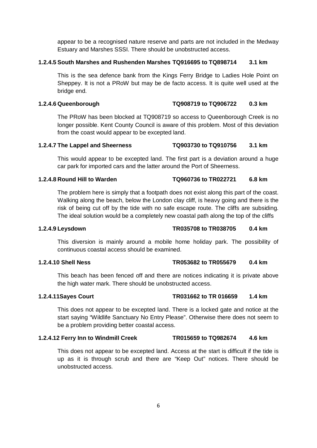appear to be a recognised nature reserve and parts are not included in the Medway Estuary and Marshes SSSI. There should be unobstructed access.

### **1.2.4.5 South Marshes and Rushenden Marshes TQ916695 to TQ898714 3.1 km**

This is the sea defence bank from the Kings Ferry Bridge to Ladies Hole Point on Sheppey. It is not a PRoW but may be de facto access. It is quite well used at the bridge end.

### **1.2.4.6 Queenborough TQ908719 to TQ906722 0.3 km**

The PRoW has been blocked at TQ908719 so access to Queenborough Creek is no longer possible. Kent County Council is aware of this problem. Most of this deviation from the coast would appear to be excepted land.

### **1.2.4.7 The Lappel and Sheerness TQ903730 to TQ910756 3.1 km**

This would appear to be excepted land. The first part is a deviation around a huge car park for imported cars and the latter around the Port of Sheerness.

### **1.2.4.8 Round Hill to Warden TQ960736 to TR022721 6.8 km**

The problem here is simply that a footpath does not exist along this part of the coast. Walking along the beach, below the London clay cliff, is heavy going and there is the risk of being cut off by the tide with no safe escape route. The cliffs are subsiding. The ideal solution would be a completely new coastal path along the top of the cliffs

#### **1.2.4.9 Leysdown TR035708 to TR038705 0.4 km**

This diversion is mainly around a mobile home holiday park. The possibility of continuous coastal access should be examined.

### **1.2.4.10 Shell Ness TR053682 to TR055679 0.4 km**

This beach has been fenced off and there are notices indicating it is private above the high water mark. There should be unobstructed access.

### **1.2.4.11Sayes Court TR031662 to TR 016659 1.4 km**

This does not appear to be excepted land. There is a locked gate and notice at the start saying "Wildlife Sanctuary No Entry Please". Otherwise there does not seem to be a problem providing better coastal access.

### **1.2.4.12 Ferry Inn to Windmill Creek TR015659 to TQ982674 4.6 km**

This does not appear to be excepted land. Access at the start is difficult if the tide is up as it is through scrub and there are "Keep Out" notices. There should be unobstructed access.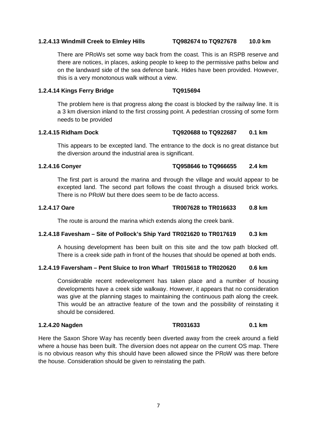#### **1.2.4.13 Windmill Creek to Elmley Hills TQ982674 to TQ927678 10.0 km**

There are PRoWs set some way back from the coast. This is an RSPB reserve and there are notices, in places, asking people to keep to the permissive paths below and on the landward side of the sea defence bank. Hides have been provided. However, this is a very monotonous walk without a view.

#### **1.2.4.14 Kings Ferry Bridge TQ915694**

The problem here is that progress along the coast is blocked by the railway line. It is a 3 km diversion inland to the first crossing point. A pedestrian crossing of some form needs to be provided

#### **1.2.4.15 Ridham Dock TQ920688 to TQ922687 0.1 km**

This appears to be excepted land. The entrance to the dock is no great distance but the diversion around the industrial area is significant.

### **1.2.4.16 Conyer TQ958646 to TQ966655 2.4 km**

The first part is around the marina and through the village and would appear to be excepted land. The second part follows the coast through a disused brick works. There is no PRoW but there does seem to be de facto access.

### **1.2.4.17 Oare TR007628 to TR016633 0.8 km**

The route is around the marina which extends along the creek bank.

#### **1.2.4.18 Favesham – Site of Pollock's Ship Yard TR021620 to TR017619 0.3 km**

A housing development has been built on this site and the tow path blocked off. There is a creek side path in front of the houses that should be opened at both ends.

#### **1.2.4.19 Faversham – Pent Sluice to Iron Wharf TR015618 to TR020620 0.6 km**

Considerable recent redevelopment has taken place and a number of housing developments have a creek side walkway. However, it appears that no consideration was give at the planning stages to maintaining the continuous path along the creek. This would be an attractive feature of the town and the possibility of reinstating it should be considered.

### **1.2.4.20 Nagden TR031633 0.1 km**

Here the Saxon Shore Way has recently been diverted away from the creek around a field where a house has been built. The diversion does not appear on the current OS map. There is no obvious reason why this should have been allowed since the PRoW was there before the house. Consideration should be given to reinstating the path.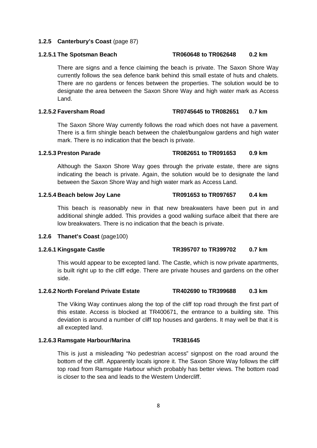#### **1.2.5 Canterbury's Coast** (page 87)

There are signs and a fence claiming the beach is private. The Saxon Shore Way currently follows the sea defence bank behind this small estate of huts and chalets. There are no gardens or fences between the properties. The solution would be to designate the area between the Saxon Shore Way and high water mark as Access Land.

### **1.2.5.2 Faversham Road TR0745645 to TR082651 0.7 km**

The Saxon Shore Way currently follows the road which does not have a pavement. There is a firm shingle beach between the chalet/bungalow gardens and high water mark. There is no indication that the beach is private.

Although the Saxon Shore Way goes through the private estate, there are signs indicating the beach is private. Again, the solution would be to designate the land between the Saxon Shore Way and high water mark as Access Land.

### **1.2.5.4 Beach below Joy Lane TR091653 to TR097657 0.4 km**

This beach is reasonably new in that new breakwaters have been put in and additional shingle added. This provides a good walking surface albeit that there are low breakwaters. There is no indication that the beach is private.

#### **1.2.6 Thanet's Coast** (page100)

#### **1.2.6.1 Kingsgate Castle TR395707 to TR399702 0.7 km**

This would appear to be excepted land. The Castle, which is now private apartments, is built right up to the cliff edge. There are private houses and gardens on the other side.

#### **1.2.6.2 North Foreland Private Estate TR402690 to TR399688 0.3 km**

The Viking Way continues along the top of the cliff top road through the first part of this estate. Access is blocked at TR400671, the entrance to a building site. This deviation is around a number of cliff top houses and gardens. It may well be that it is all excepted land.

#### **1.2.6.3 Ramsgate Harbour/Marina TR381645**

This is just a misleading "No pedestrian access" signpost on the road around the bottom of the cliff. Apparently locals ignore it. The Saxon Shore Way follows the cliff top road from Ramsgate Harbour which probably has better views. The bottom road is closer to the sea and leads to the Western Undercliff.

### **1.2.5.1 The Spotsman Beach TR060648 to TR062648 0.2 km**

**1.2.5.3 Preston Parade TR082651 to TR091653 0.9 km**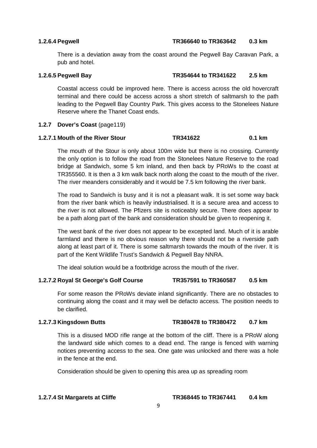#### **1.2.6.4 Pegwell TR366640 to TR363642 0.3 km**

There is a deviation away from the coast around the Pegwell Bay Caravan Park, a pub and hotel.

### **1.2.6.5 Pegwell Bay TR354644 to TR341622 2.5 km**

Coastal access could be improved here. There is access across the old hovercraft terminal and there could be access across a short stretch of saltmarsh to the path leading to the Pegwell Bay Country Park. This gives access to the Stonelees Nature Reserve where the Thanet Coast ends.

### **1.2.7 Dover's Coast** (page119)

### **1.2.7.1 Mouth of the River Stour TR341622 0.1 km**

The mouth of the Stour is only about 100m wide but there is no crossing. Currently the only option is to follow the road from the Stonelees Nature Reserve to the road bridge at Sandwich, some 5 km inland, and then back by PRoWs to the coast at TR355560. It is then a 3 km walk back north along the coast to the mouth of the river. The river meanders considerably and it would be 7.5 km following the river bank.

The road to Sandwich is busy and it is not a pleasant walk. It is set some way back from the river bank which is heavily industrialised. It is a secure area and access to the river is not allowed. The Pfizers site is noticeably secure. There does appear to be a path along part of the bank and consideration should be given to reopening it.

The west bank of the river does not appear to be excepted land. Much of it is arable farmland and there is no obvious reason why there should not be a riverside path along at least part of it. There is some saltmarsh towards the mouth of the river. It is part of the Kent Wildlife Trust's Sandwich & Pegwell Bay NNRA.

The ideal solution would be a footbridge across the mouth of the river.

### **1.2.7.2 Royal St George's Golf Course TR357591 to TR360587 0.5 km**

For some reason the PRoWs deviate inland significantly. There are no obstacles to continuing along the coast and it may well be defacto access. The position needs to be clarified.

### **1.2.7.3 Kingsdown Butts TR380478 to TR380472 0.7 km**

This is a disused MOD rifle range at the bottom of the cliff. There is a PRoW along the landward side which comes to a dead end. The range is fenced with warning notices preventing access to the sea. One gate was unlocked and there was a hole in the fence at the end.

Consideration should be given to opening this area up as spreading room

**1.2.7.4 St Margarets at Cliffe TR368445 to TR367441 0.4 km**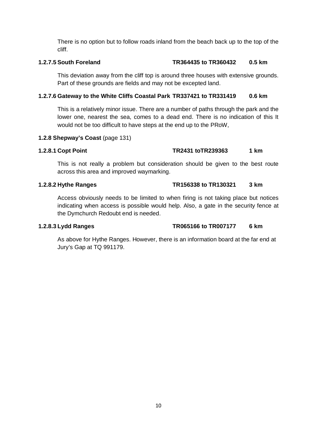There is no option but to follow roads inland from the beach back up to the top of the cliff.

### **1.2.7.5 South Foreland TR364435 to TR360432 0.5 km**

This deviation away from the cliff top is around three houses with extensive grounds. Part of these grounds are fields and may not be excepted land.

### **1.2.7.6 Gateway to the White Cliffs Coastal Park TR337421 to TR331419 0.6 km**

This is a relatively minor issue. There are a number of paths through the park and the lower one, nearest the sea, comes to a dead end. There is no indication of this It would not be too difficult to have steps at the end up to the PRoW,

### **1.2.8 Shepway's Coast** (page 131)

### **1.2.8.1 Copt Point TR2431 toTR239363 1 km**

This is not really a problem but consideration should be given to the best route across this area and improved waymarking.

### **1.2.8.2 Hythe Ranges TR156338 to TR130321 3 km**

Access obviously needs to be limited to when firing is not taking place but notices indicating when access is possible would help. Also, a gate in the security fence at the Dymchurch Redoubt end is needed.

### **1.2.8.3 Lydd Ranges TR065166 to TR007177 6 km**

As above for Hythe Ranges. However, there is an information board at the far end at Jury's Gap at TQ 991179.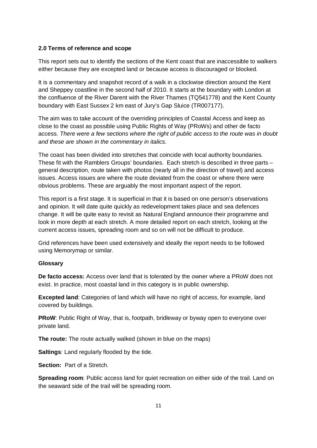### **2.0 Terms of reference and scope**

This report sets out to identify the sections of the Kent coast that are inaccessible to walkers either because they are excepted land or because access is discouraged or blocked.

It is a commentary and snapshot record of a walk in a clockwise direction around the Kent and Sheppey coastline in the second half of 2010. It starts at the boundary with London at the confluence of the River Darent with the River Thames (TQ541778) and the Kent County boundary with East Sussex 2 km east of Jury's Gap Sluice (TR007177).

The aim was to take account of the overriding principles of Coastal Access and keep as close to the coast as possible using Public Rights of Way (PRoWs) and other de facto access. *There were a few sections where the right of public access to the route was in doubt and these are shown in the commentary in italics.*

The coast has been divided into stretches that coincide with local authority boundaries. These fit with the Ramblers Groups' boundaries. Each stretch is described in three parts – general description, route taken with photos (nearly all in the direction of travel) and access issues. Access issues are where the route deviated from the coast or where there were obvious problems. These are arguably the most important aspect of the report.

This report is a first stage. It is superficial in that it is based on one person's observations and opinion. It will date quite quickly as redevelopment takes place and sea defences change. It will be quite easy to revisit as Natural England announce their programme and look in more depth at each stretch. A more detailed report on each stretch, looking at the current access issues, spreading room and so on will not be difficult to produce.

Grid references have been used extensively and ideally the report needs to be followed using Memorymap or similar.

#### **Glossary**

**De facto access:** Access over land that is tolerated by the owner where a PRoW does not exist. In practice, most coastal land in this category is in public ownership.

**Excepted land**: Categories of land which will have no right of access, for example, land covered by buildings.

**PRoW**: Public Right of Way, that is, footpath, bridleway or byway open to everyone over private land.

**The route:** The route actually walked (shown in blue on the maps)

**Saltings**: Land regularly flooded by the tide.

**Section:** Part of a Stretch.

**Spreading room**: Public access land for quiet recreation on either side of the trail. Land on the seaward side of the trail will be spreading room.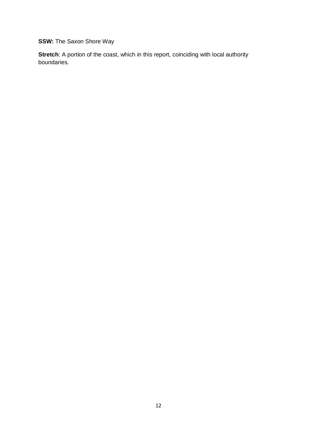**SSW:** The Saxon Shore Way

**Stretch**: A portion of the coast, which in this report, coinciding with local authority boundaries.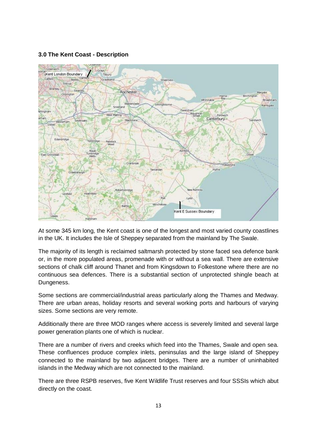#### **3.0 The Kent Coast - Description**



At some 345 km long, the Kent coast is one of the longest and most varied county coastlines in the UK. It includes the Isle of Sheppey separated from the mainland by The Swale.

The majority of its length is reclaimed saltmarsh protected by stone faced sea defence bank or, in the more populated areas, promenade with or without a sea wall. There are extensive sections of chalk cliff around Thanet and from Kingsdown to Folkestone where there are no continuous sea defences. There is a substantial section of unprotected shingle beach at Dungeness.

Some sections are commercial/industrial areas particularly along the Thames and Medway. There are urban areas, holiday resorts and several working ports and harbours of varying sizes. Some sections are very remote.

Additionally there are three MOD ranges where access is severely limited and several large power generation plants one of which is nuclear.

There are a number of rivers and creeks which feed into the Thames, Swale and open sea. These confluences produce complex inlets, peninsulas and the large island of Sheppey connected to the mainland by two adjacent bridges. There are a number of uninhabited islands in the Medway which are not connected to the mainland.

There are three RSPB reserves, five Kent Wildlife Trust reserves and four SSSIs which abut directly on the coast.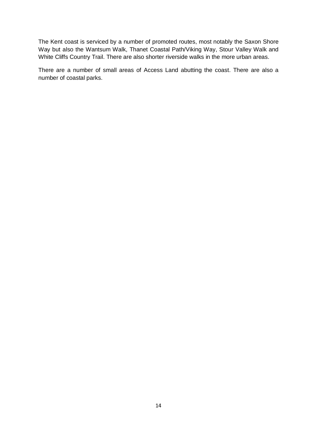The Kent coast is serviced by a number of promoted routes, most notably the Saxon Shore Way but also the Wantsum Walk, Thanet Coastal Path/Viking Way, Stour Valley Walk and White Cliffs Country Trail. There are also shorter riverside walks in the more urban areas.

There are a number of small areas of Access Land abutting the coast. There are also a number of coastal parks.